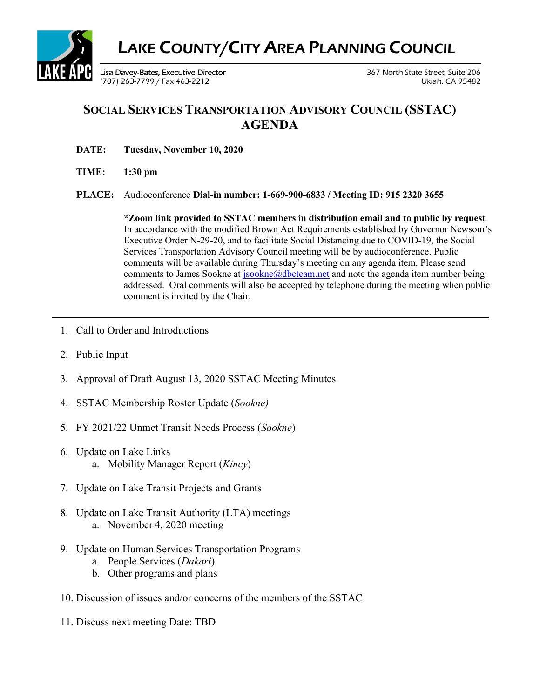

## SOCIAL SERVICES TRANSPORTATION ADVISORY COUNCIL (SSTAC) AGENDA

- DATE: Tuesday, November 10, 2020
- TIME: 1:30 pm
- PLACE: Audioconference Dial-in number: 1-669-900-6833 / Meeting ID: 915 2320 3655

\*Zoom link provided to SSTAC members in distribution email and to public by request In accordance with the modified Brown Act Requirements established by Governor Newsom's Executive Order N-29-20, and to facilitate Social Distancing due to COVID-19, the Social Services Transportation Advisory Council meeting will be by audioconference. Public comments will be available during Thursday's meeting on any agenda item. Please send comments to James Sookne at  $isookne@dbcteam.net$  and note the agenda item number being addressed. Oral comments will also be accepted by telephone during the meeting when public comment is invited by the Chair.

- 1. Call to Order and Introductions
- 2. Public Input
- 3. Approval of Draft August 13, 2020 SSTAC Meeting Minutes
- 4. SSTAC Membership Roster Update (Sookne)
- 5. FY 2021/22 Unmet Transit Needs Process (Sookne)
- 6. Update on Lake Links a. Mobility Manager Report (Kincy)
- 7. Update on Lake Transit Projects and Grants
- 8. Update on Lake Transit Authority (LTA) meetings a. November 4, 2020 meeting
- 9. Update on Human Services Transportation Programs
	- a. People Services (Dakari)
	- b. Other programs and plans
- 10. Discussion of issues and/or concerns of the members of the SSTAC
- 11. Discuss next meeting Date: TBD